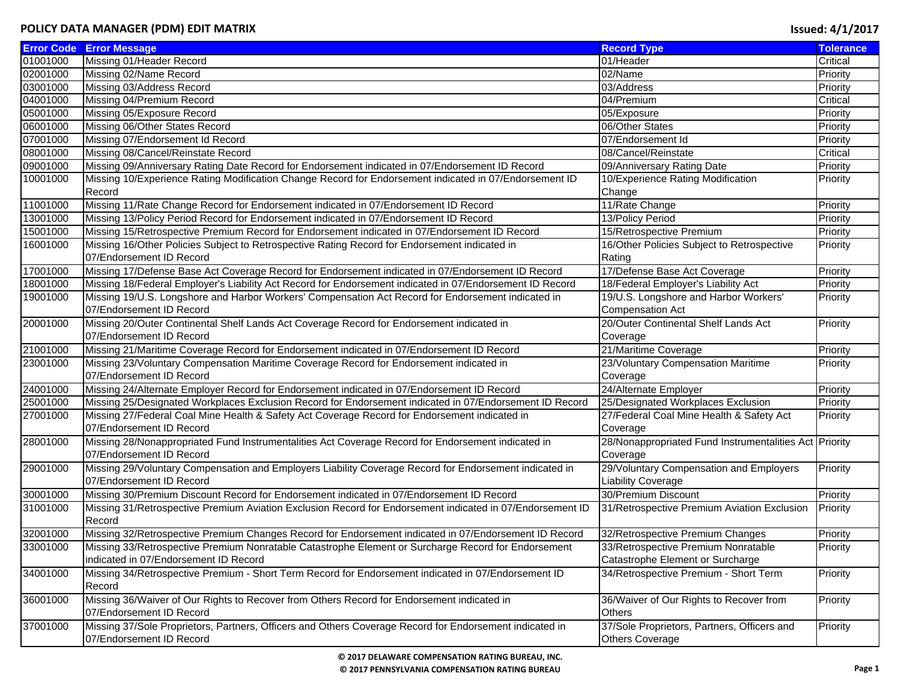|          | <b>Error Code Error Message</b>                                                                           | <b>Record Type</b>                                     | <b>Tolerance</b> |
|----------|-----------------------------------------------------------------------------------------------------------|--------------------------------------------------------|------------------|
| 01001000 | Missing 01/Header Record                                                                                  | 01/Header                                              | Critical         |
| 02001000 | Missing 02/Name Record                                                                                    | 02/Name                                                | Priority         |
| 03001000 | Missing 03/Address Record                                                                                 | 03/Address                                             | Priority         |
| 04001000 | Missing 04/Premium Record                                                                                 | 04/Premium                                             | Critical         |
| 05001000 | Missing 05/Exposure Record                                                                                | 05/Exposure                                            | Priority         |
| 06001000 | Missing 06/Other States Record                                                                            | 06/Other States                                        | Priority         |
| 07001000 | Missing 07/Endorsement Id Record                                                                          | 07/Endorsement Id                                      | Priority         |
| 08001000 | Missing 08/Cancel/Reinstate Record                                                                        | 08/Cancel/Reinstate                                    | Critical         |
| 09001000 | Missing 09/Anniversary Rating Date Record for Endorsement indicated in 07/Endorsement ID Record           | 09/Anniversary Rating Date                             | Priority         |
| 10001000 | Missing 10/Experience Rating Modification Change Record for Endorsement indicated in 07/Endorsement ID    | 10/Experience Rating Modification                      | Priority         |
|          | Record                                                                                                    | Change                                                 |                  |
| 11001000 | Missing 11/Rate Change Record for Endorsement indicated in 07/Endorsement ID Record                       | 11/Rate Change                                         | Priority         |
| 13001000 | Missing 13/Policy Period Record for Endorsement indicated in 07/Endorsement ID Record                     | 13/Policy Period                                       | Priority         |
| 15001000 | Missing 15/Retrospective Premium Record for Endorsement indicated in 07/Endorsement ID Record             | 15/Retrospective Premium                               | Priority         |
| 16001000 | Missing 16/Other Policies Subject to Retrospective Rating Record for Endorsement indicated in             | 16/Other Policies Subject to Retrospective             | Priority         |
|          | 07/Endorsement ID Record                                                                                  | Rating                                                 |                  |
| 17001000 | Missing 17/Defense Base Act Coverage Record for Endorsement indicated in 07/Endorsement ID Record         | 17/Defense Base Act Coverage                           | Priority         |
| 18001000 | Missing 18/Federal Employer's Liability Act Record for Endorsement indicated in 07/Endorsement ID Record  | 18/Federal Employer's Liability Act                    | Priority         |
| 19001000 | Missing 19/U.S. Longshore and Harbor Workers' Compensation Act Record for Endorsement indicated in        | 19/U.S. Longshore and Harbor Workers'                  | Priority         |
|          | 07/Endorsement ID Record                                                                                  | <b>Compensation Act</b>                                |                  |
| 20001000 | Missing 20/Outer Continental Shelf Lands Act Coverage Record for Endorsement indicated in                 | 20/Outer Continental Shelf Lands Act                   | Priority         |
|          | 07/Endorsement ID Record                                                                                  | Coverage                                               |                  |
| 21001000 | Missing 21/Maritime Coverage Record for Endorsement indicated in 07/Endorsement ID Record                 | 21/Maritime Coverage                                   | Priority         |
| 23001000 | Missing 23/Voluntary Compensation Maritime Coverage Record for Endorsement indicated in                   | 23/Voluntary Compensation Maritime                     | Priority         |
|          | 07/Endorsement ID Record                                                                                  | Coverage                                               |                  |
| 24001000 | Missing 24/Alternate Employer Record for Endorsement indicated in 07/Endorsement ID Record                | 24/Alternate Employer                                  | Priority         |
| 25001000 | Missing 25/Designated Workplaces Exclusion Record for Endorsement indicated in 07/Endorsement ID Record   | 25/Designated Workplaces Exclusion                     | Priority         |
| 27001000 | Missing 27/Federal Coal Mine Health & Safety Act Coverage Record for Endorsement indicated in             | 27/Federal Coal Mine Health & Safety Act               | Priority         |
|          | 07/Endorsement ID Record                                                                                  | Coverage                                               |                  |
| 28001000 | Missing 28/Nonappropriated Fund Instrumentalities Act Coverage Record for Endorsement indicated in        | 28/Nonappropriated Fund Instrumentalities Act Priority |                  |
|          | 07/Endorsement ID Record                                                                                  | Coverage                                               |                  |
| 29001000 | Missing 29/Voluntary Compensation and Employers Liability Coverage Record for Endorsement indicated in    | 29/Voluntary Compensation and Employers                | Priority         |
|          | 07/Endorsement ID Record                                                                                  | <b>Liability Coverage</b>                              |                  |
| 30001000 | Missing 30/Premium Discount Record for Endorsement indicated in 07/Endorsement ID Record                  | 30/Premium Discount                                    | Priority         |
| 31001000 | Missing 31/Retrospective Premium Aviation Exclusion Record for Endorsement indicated in 07/Endorsement ID | 31/Retrospective Premium Aviation Exclusion            | Priority         |
|          | Record                                                                                                    |                                                        |                  |
| 32001000 | Missing 32/Retrospective Premium Changes Record for Endorsement indicated in 07/Endorsement ID Record     | 32/Retrospective Premium Changes                       | Priority         |
| 33001000 | Missing 33/Retrospective Premium Nonratable Catastrophe Element or Surcharge Record for Endorsement       | 33/Retrospective Premium Nonratable                    | Priority         |
|          | indicated in 07/Endorsement ID Record                                                                     | Catastrophe Element or Surcharge                       |                  |
| 34001000 | Missing 34/Retrospective Premium - Short Term Record for Endorsement indicated in 07/Endorsement ID       | 34/Retrospective Premium - Short Term                  | Priority         |
|          | Record                                                                                                    |                                                        |                  |
| 36001000 | Missing 36/Waiver of Our Rights to Recover from Others Record for Endorsement indicated in                | 36/Waiver of Our Rights to Recover from                | Priority         |
|          | 07/Endorsement ID Record                                                                                  | Others                                                 |                  |
| 37001000 | Missing 37/Sole Proprietors, Partners, Officers and Others Coverage Record for Endorsement indicated in   | 37/Sole Proprietors, Partners, Officers and            | Priority         |
|          | 07/Endorsement ID Record                                                                                  | <b>Others Coverage</b>                                 |                  |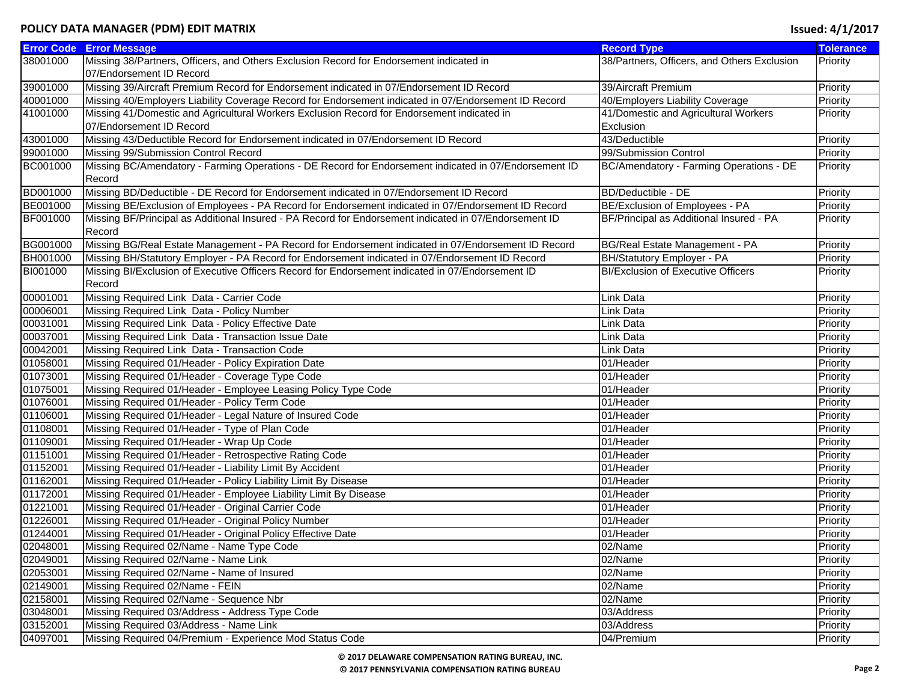|                 | <b>Error Code Error Message</b>                                                                       | <b>Record Type</b>                          | <b>Tolerance</b> |
|-----------------|-------------------------------------------------------------------------------------------------------|---------------------------------------------|------------------|
| 38001000        | Missing 38/Partners, Officers, and Others Exclusion Record for Endorsement indicated in               | 38/Partners, Officers, and Others Exclusion | Priority         |
|                 | 07/Endorsement ID Record                                                                              |                                             |                  |
| 39001000        | Missing 39/Aircraft Premium Record for Endorsement indicated in 07/Endorsement ID Record              | 39/Aircraft Premium                         | Priority         |
| 40001000        | Missing 40/Employers Liability Coverage Record for Endorsement indicated in 07/Endorsement ID Record  | 40/Employers Liability Coverage             | Priority         |
| 41001000        | Missing 41/Domestic and Agricultural Workers Exclusion Record for Endorsement indicated in            | 41/Domestic and Agricultural Workers        | Priority         |
|                 | 07/Endorsement ID Record                                                                              | Exclusion                                   |                  |
| 43001000        | Missing 43/Deductible Record for Endorsement indicated in 07/Endorsement ID Record                    | 43/Deductible                               | Priority         |
| 99001000        | Missing 99/Submission Control Record                                                                  | 99/Submission Control                       | Priority         |
| BC001000        | Missing BC/Amendatory - Farming Operations - DE Record for Endorsement indicated in 07/Endorsement ID | BC/Amendatory - Farming Operations - DE     | Priority         |
|                 | Record                                                                                                |                                             |                  |
| BD001000        | Missing BD/Deductible - DE Record for Endorsement indicated in 07/Endorsement ID Record               | <b>BD/Deductible - DE</b>                   | Priority         |
| BE001000        | Missing BE/Exclusion of Employees - PA Record for Endorsement indicated in 07/Endorsement ID Record   | BE/Exclusion of Employees - PA              | Priority         |
| BF001000        | Missing BF/Principal as Additional Insured - PA Record for Endorsement indicated in 07/Endorsement ID | BF/Principal as Additional Insured - PA     | Priority         |
|                 | Record                                                                                                |                                             |                  |
| BG001000        | Missing BG/Real Estate Management - PA Record for Endorsement indicated in 07/Endorsement ID Record   | BG/Real Estate Management - PA              | Priority         |
| <b>BH001000</b> | Missing BH/Statutory Employer - PA Record for Endorsement indicated in 07/Endorsement ID Record       | <b>BH/Statutory Employer - PA</b>           | Priority         |
| BI001000        | Missing BI/Exclusion of Executive Officers Record for Endorsement indicated in 07/Endorsement ID      | <b>BI/Exclusion of Executive Officers</b>   | Priority         |
|                 | Record                                                                                                |                                             |                  |
| 00001001        | Missing Required Link Data - Carrier Code                                                             | Link Data                                   | Priority         |
| 00006001        | Missing Required Link Data - Policy Number                                                            | Link Data                                   | Priority         |
| 00031001        | Missing Required Link Data - Policy Effective Date                                                    | Link Data                                   | Priority         |
| 00037001        | Missing Required Link Data - Transaction Issue Date                                                   | Link Data                                   | Priority         |
| 00042001        | Missing Required Link Data - Transaction Code                                                         | Link Data                                   | Priority         |
| 01058001        | Missing Required 01/Header - Policy Expiration Date                                                   | 01/Header                                   | Priority         |
| 01073001        | Missing Required 01/Header - Coverage Type Code                                                       | 01/Header                                   | Priority         |
| 01075001        | Missing Required 01/Header - Employee Leasing Policy Type Code                                        | 01/Header                                   | Priority         |
| 01076001        | Missing Required 01/Header - Policy Term Code                                                         | 01/Header                                   | Priority         |
| 01106001        | Missing Required 01/Header - Legal Nature of Insured Code                                             | 01/Header                                   | Priority         |
| 01108001        | Missing Required 01/Header - Type of Plan Code                                                        | 01/Header                                   | Priority         |
| 01109001        | Missing Required 01/Header - Wrap Up Code                                                             | 01/Header                                   | Priority         |
| 01151001        | Missing Required 01/Header - Retrospective Rating Code                                                | 01/Header                                   | Priority         |
| 01152001        | Missing Required 01/Header - Liability Limit By Accident                                              | 01/Header                                   | Priority         |
| 01162001        | Missing Required 01/Header - Policy Liability Limit By Disease                                        | 01/Header                                   | Priority         |
| 01172001        | Missing Required 01/Header - Employee Liability Limit By Disease                                      | 01/Header                                   | Priority         |
| 01221001        | Missing Required 01/Header - Original Carrier Code                                                    | 01/Header                                   | Priority         |
| 01226001        | Missing Required 01/Header - Original Policy Number                                                   | 01/Header                                   | Priority         |
| 01244001        | Missing Required 01/Header - Original Policy Effective Date                                           | 01/Header                                   | Priority         |
| 02048001        | Missing Required 02/Name - Name Type Code                                                             | 02/Name                                     | Priority         |
| 02049001        | Missing Required 02/Name - Name Link                                                                  | 02/Name                                     | Priority         |
| 02053001        | Missing Required 02/Name - Name of Insured                                                            | 02/Name                                     | Priority         |
| 02149001        | Missing Required 02/Name - FEIN                                                                       | 02/Name                                     | Priority         |
| 02158001        | Missing Required 02/Name - Sequence Nbr                                                               | 02/Name                                     | Priority         |
| 03048001        | Missing Required 03/Address - Address Type Code                                                       | 03/Address                                  | Priority         |
| 03152001        | Missing Required 03/Address - Name Link                                                               | 03/Address                                  | Priority         |
| 04097001        | Missing Required 04/Premium - Experience Mod Status Code                                              | 04/Premium                                  | Priority         |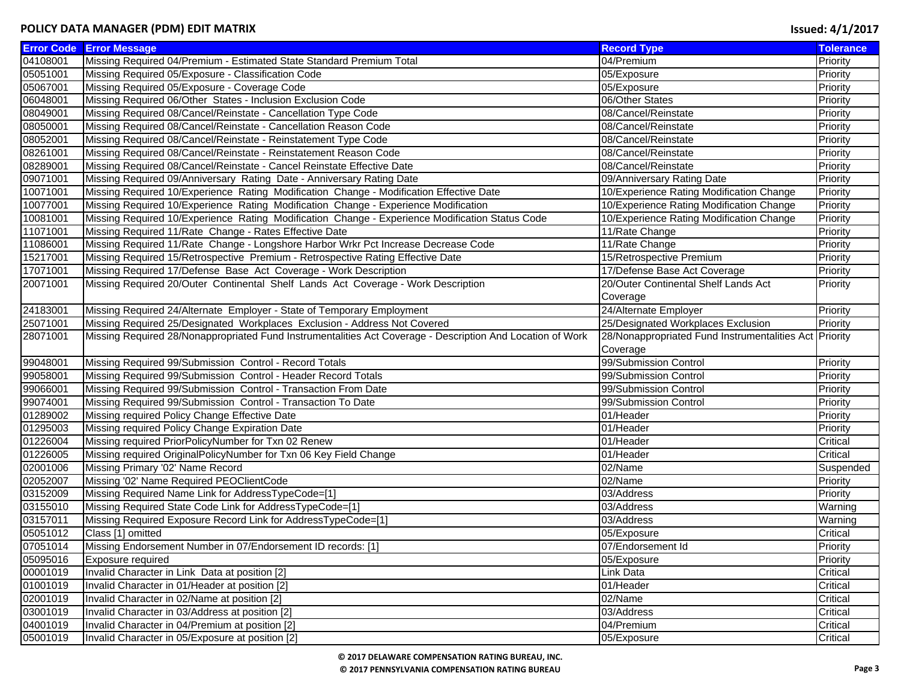|          | <b>Error Code Error Message</b>                                                                            | <b>Record Type</b>                                     | <b>Tolerance</b> |
|----------|------------------------------------------------------------------------------------------------------------|--------------------------------------------------------|------------------|
| 04108001 | Missing Required 04/Premium - Estimated State Standard Premium Total                                       | 04/Premium                                             | Priority         |
| 05051001 | Missing Required 05/Exposure - Classification Code                                                         | 05/Exposure                                            | Priority         |
| 05067001 | Missing Required 05/Exposure - Coverage Code                                                               | 05/Exposure                                            | Priority         |
| 06048001 | Missing Required 06/Other States - Inclusion Exclusion Code                                                | 06/Other States                                        | Priority         |
| 08049001 | Missing Required 08/Cancel/Reinstate - Cancellation Type Code                                              | 08/Cancel/Reinstate                                    | Priority         |
| 08050001 | Missing Required 08/Cancel/Reinstate - Cancellation Reason Code                                            | 08/Cancel/Reinstate                                    | Priority         |
| 08052001 | Missing Required 08/Cancel/Reinstate - Reinstatement Type Code                                             | 08/Cancel/Reinstate                                    | Priority         |
| 08261001 | Missing Required 08/Cancel/Reinstate - Reinstatement Reason Code                                           | 08/Cancel/Reinstate                                    | Priority         |
| 08289001 | Missing Required 08/Cancel/Reinstate - Cancel Reinstate Effective Date                                     | 08/Cancel/Reinstate                                    | Priority         |
| 09071001 | Missing Required 09/Anniversary Rating Date - Anniversary Rating Date                                      | 09/Anniversary Rating Date                             | Priority         |
| 10071001 | Missing Required 10/Experience Rating Modification Change - Modification Effective Date                    | 10/Experience Rating Modification Change               | Priority         |
| 10077001 | Missing Required 10/Experience Rating Modification Change - Experience Modification                        | 10/Experience Rating Modification Change               | Priority         |
| 10081001 | Missing Required 10/Experience Rating Modification Change - Experience Modification Status Code            | 10/Experience Rating Modification Change               | Priority         |
| 11071001 | Missing Required 11/Rate Change - Rates Effective Date                                                     | 11/Rate Change                                         | Priority         |
| 11086001 | Missing Required 11/Rate Change - Longshore Harbor Wrkr Pct Increase Decrease Code                         | 11/Rate Change                                         | Priority         |
| 15217001 | Missing Required 15/Retrospective Premium - Retrospective Rating Effective Date                            | 15/Retrospective Premium                               | Priority         |
| 17071001 | Missing Required 17/Defense Base Act Coverage - Work Description                                           | 17/Defense Base Act Coverage                           | Priority         |
| 20071001 | Missing Required 20/Outer Continental Shelf Lands Act Coverage - Work Description                          | 20/Outer Continental Shelf Lands Act                   | Priority         |
|          |                                                                                                            | Coverage                                               |                  |
| 24183001 | Missing Required 24/Alternate Employer - State of Temporary Employment                                     | 24/Alternate Employer                                  | Priority         |
| 25071001 | Missing Required 25/Designated Workplaces Exclusion - Address Not Covered                                  | 25/Designated Workplaces Exclusion                     | Priority         |
| 28071001 | Missing Required 28/Nonappropriated Fund Instrumentalities Act Coverage - Description And Location of Work | 28/Nonappropriated Fund Instrumentalities Act Priority |                  |
|          |                                                                                                            | Coverage                                               |                  |
| 99048001 | Missing Required 99/Submission Control - Record Totals                                                     | 99/Submission Control                                  | Priority         |
| 99058001 | Missing Required 99/Submission Control - Header Record Totals                                              | 99/Submission Control                                  | Priority         |
| 99066001 | Missing Required 99/Submission Control - Transaction From Date                                             | 99/Submission Control                                  | Priority         |
| 99074001 | Missing Required 99/Submission Control - Transaction To Date                                               | 99/Submission Control                                  | Priority         |
| 01289002 | Missing required Policy Change Effective Date                                                              | 01/Header                                              | Priority         |
| 01295003 | Missing required Policy Change Expiration Date                                                             | 01/Header                                              | Priority         |
| 01226004 | Missing required PriorPolicyNumber for Txn 02 Renew                                                        | 01/Header                                              | Critical         |
| 01226005 | Missing required OriginalPolicyNumber for Txn 06 Key Field Change                                          | 01/Header                                              | Critical         |
| 02001006 | Missing Primary '02' Name Record                                                                           | 02/Name                                                | Suspended        |
| 02052007 | Missing '02' Name Required PEOClientCode                                                                   | 02/Name                                                | Priority         |
| 03152009 | Missing Required Name Link for AddressTypeCode=[1]                                                         | 03/Address                                             | Priority         |
| 03155010 | Missing Required State Code Link for AddressTypeCode=[1]                                                   | 03/Address                                             | Warning          |
| 03157011 | Missing Required Exposure Record Link for AddressTypeCode=[1]                                              | 03/Address                                             | Warning          |
| 05051012 | Class [1] omitted                                                                                          | 05/Exposure                                            | Critical         |
| 07051014 | Missing Endorsement Number in 07/Endorsement ID records: [1]                                               | 07/Endorsement Id                                      | Priority         |
| 05095016 | Exposure required                                                                                          | 05/Exposure                                            | Priority         |
| 00001019 | Invalid Character in Link Data at position [2]                                                             | Link Data                                              | Critical         |
| 01001019 | Invalid Character in 01/Header at position [2]                                                             | 01/Header                                              | Critical         |
| 02001019 | Invalid Character in 02/Name at position [2]                                                               | 02/Name                                                | Critical         |
| 03001019 | Invalid Character in 03/Address at position [2]                                                            | 03/Address                                             | Critical         |
| 04001019 | Invalid Character in 04/Premium at position [2]                                                            | 04/Premium                                             | Critical         |
| 05001019 | Invalid Character in 05/Exposure at position [2]                                                           | 05/Exposure                                            | Critical         |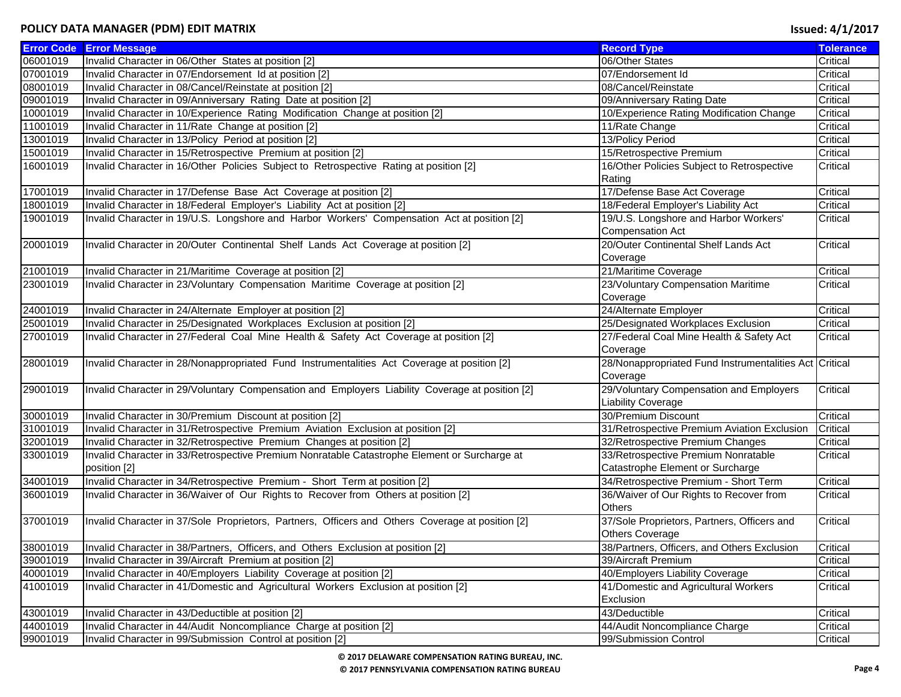|          | <b>Error Code Error Message</b>                                                                  | <b>Record Type</b>                                     | <b>Tolerance</b> |
|----------|--------------------------------------------------------------------------------------------------|--------------------------------------------------------|------------------|
| 06001019 | Invalid Character in 06/Other States at position [2]                                             | 06/Other States                                        | Critical         |
| 07001019 | Invalid Character in 07/Endorsement Id at position [2]                                           | 07/Endorsement Id                                      | Critical         |
| 08001019 | Invalid Character in 08/Cancel/Reinstate at position [2]                                         | 08/Cancel/Reinstate                                    | Critical         |
| 09001019 | Invalid Character in 09/Anniversary Rating Date at position [2]                                  | 09/Anniversary Rating Date                             | Critical         |
| 10001019 | Invalid Character in 10/Experience Rating Modification Change at position [2]                    | 10/Experience Rating Modification Change               | Critical         |
| 11001019 | Invalid Character in 11/Rate Change at position [2]                                              | 11/Rate Change                                         | Critical         |
| 13001019 | Invalid Character in 13/Policy Period at position [2]                                            | 13/Policy Period                                       | Critical         |
| 15001019 | Invalid Character in 15/Retrospective Premium at position [2]                                    | 15/Retrospective Premium                               | Critical         |
| 16001019 | Invalid Character in 16/Other Policies Subject to Retrospective Rating at position [2]           | 16/Other Policies Subject to Retrospective             | Critical         |
|          |                                                                                                  | Rating                                                 |                  |
| 17001019 | Invalid Character in 17/Defense Base Act Coverage at position [2]                                | 17/Defense Base Act Coverage                           | Critical         |
| 18001019 | Invalid Character in 18/Federal Employer's Liability Act at position [2]                         | 18/Federal Employer's Liability Act                    | Critical         |
| 19001019 | Invalid Character in 19/U.S. Longshore and Harbor Workers' Compensation Act at position [2]      | 19/U.S. Longshore and Harbor Workers'                  | Critical         |
|          |                                                                                                  | <b>Compensation Act</b>                                |                  |
| 20001019 | Invalid Character in 20/Outer Continental Shelf Lands Act Coverage at position [2]               | 20/Outer Continental Shelf Lands Act                   | Critical         |
|          |                                                                                                  | Coverage                                               |                  |
| 21001019 | Invalid Character in 21/Maritime Coverage at position [2]                                        | 21/Maritime Coverage                                   | Critical         |
| 23001019 | Invalid Character in 23/Voluntary Compensation Maritime Coverage at position [2]                 | 23/Voluntary Compensation Maritime                     | Critical         |
|          |                                                                                                  | Coverage                                               |                  |
| 24001019 | Invalid Character in 24/Alternate Employer at position [2]                                       | 24/Alternate Employer                                  | Critical         |
| 25001019 | Invalid Character in 25/Designated Workplaces Exclusion at position [2]                          | 25/Designated Workplaces Exclusion                     | Critical         |
| 27001019 | Invalid Character in 27/Federal Coal Mine Health & Safety Act Coverage at position [2]           | 27/Federal Coal Mine Health & Safety Act               | Critical         |
|          |                                                                                                  | Coverage                                               |                  |
| 28001019 | Invalid Character in 28/Nonappropriated Fund Instrumentalities Act Coverage at position [2]      | 28/Nonappropriated Fund Instrumentalities Act Critical |                  |
|          |                                                                                                  | Coverage                                               |                  |
| 29001019 | Invalid Character in 29/Voluntary Compensation and Employers Liability Coverage at position [2]  | 29/Voluntary Compensation and Employers                | Critical         |
|          |                                                                                                  | <b>Liability Coverage</b>                              |                  |
| 30001019 | Invalid Character in 30/Premium Discount at position [2]                                         | 30/Premium Discount                                    | Critical         |
| 31001019 | Invalid Character in 31/Retrospective Premium Aviation Exclusion at position [2]                 | 31/Retrospective Premium Aviation Exclusion            | Critical         |
| 32001019 | Invalid Character in 32/Retrospective Premium Changes at position [2]                            | 32/Retrospective Premium Changes                       | Critical         |
| 33001019 | Invalid Character in 33/Retrospective Premium Nonratable Catastrophe Element or Surcharge at     | 33/Retrospective Premium Nonratable                    | Critical         |
|          | position [2]                                                                                     | Catastrophe Element or Surcharge                       |                  |
| 34001019 | Invalid Character in 34/Retrospective Premium - Short Term at position [2]                       | 34/Retrospective Premium - Short Term                  | Critical         |
| 36001019 | Invalid Character in 36/Waiver of Our Rights to Recover from Others at position [2]              | 36/Waiver of Our Rights to Recover from                | Critical         |
|          |                                                                                                  | <b>Others</b>                                          |                  |
| 37001019 | Invalid Character in 37/Sole Proprietors, Partners, Officers and Others Coverage at position [2] | 37/Sole Proprietors, Partners, Officers and            | Critical         |
|          |                                                                                                  | Others Coverage                                        |                  |
| 38001019 | Invalid Character in 38/Partners, Officers, and Others Exclusion at position [2]                 | 38/Partners, Officers, and Others Exclusion            | Critical         |
| 39001019 | Invalid Character in 39/Aircraft Premium at position [2]                                         | 39/Aircraft Premium                                    | Critical         |
| 40001019 | Invalid Character in 40/Employers Liability Coverage at position [2]                             | 40/Employers Liability Coverage                        | Critical         |
| 41001019 | Invalid Character in 41/Domestic and Agricultural Workers Exclusion at position [2]              | 41/Domestic and Agricultural Workers                   | Critical         |
|          |                                                                                                  | Exclusion                                              |                  |
| 43001019 | Invalid Character in 43/Deductible at position [2]                                               | 43/Deductible                                          | Critical         |
| 44001019 | Invalid Character in 44/Audit Noncompliance Charge at position [2]                               | 44/Audit Noncompliance Charge                          | Critical         |
| 99001019 | Invalid Character in 99/Submission Control at position [2]                                       | 99/Submission Control                                  | Critical         |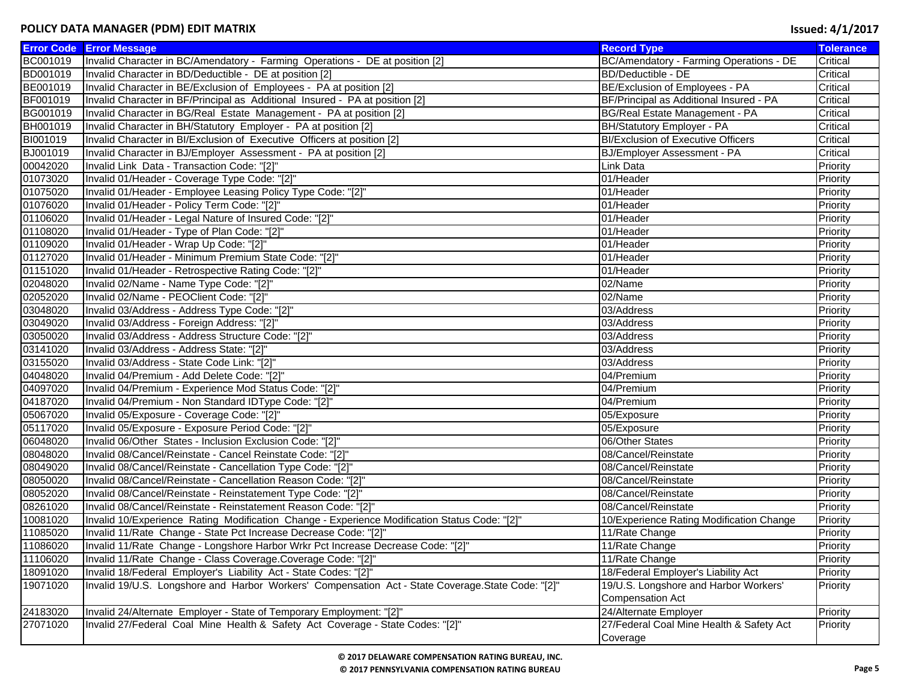|          | <b>Error Code Error Message</b>                                                                    | <b>Record Type</b>                        | <b>Tolerance</b> |
|----------|----------------------------------------------------------------------------------------------------|-------------------------------------------|------------------|
| BC001019 | Invalid Character in BC/Amendatory - Farming Operations - DE at position [2]                       | BC/Amendatory - Farming Operations - DE   | Critical         |
| BD001019 | Invalid Character in BD/Deductible - DE at position [2]                                            | BD/Deductible - DE                        | Critical         |
| BE001019 | Invalid Character in BE/Exclusion of Employees - PA at position [2]                                | BE/Exclusion of Employees - PA            | Critical         |
| BF001019 | Invalid Character in BF/Principal as Additional Insured - PA at position [2]                       | BF/Principal as Additional Insured - PA   | Critical         |
| BG001019 | Invalid Character in BG/Real Estate Management - PA at position [2]                                | BG/Real Estate Management - PA            | Critical         |
| BH001019 | Invalid Character in BH/Statutory Employer - PA at position [2]                                    | BH/Statutory Employer - PA                | Critical         |
| BI001019 | Invalid Character in BI/Exclusion of Executive Officers at position [2]                            | <b>BI/Exclusion of Executive Officers</b> | Critical         |
| BJ001019 | Invalid Character in BJ/Employer Assessment - PA at position [2]                                   | BJ/Employer Assessment - PA               | Critical         |
| 00042020 | Invalid Link Data - Transaction Code: "[2]"                                                        | Link Data                                 | Priority         |
| 01073020 | Invalid 01/Header - Coverage Type Code: "[2]"                                                      | 01/Header                                 | Priority         |
| 01075020 | Invalid 01/Header - Employee Leasing Policy Type Code: "[2]"                                       | 01/Header                                 | Priority         |
| 01076020 | Invalid 01/Header - Policy Term Code: "[2]"                                                        | 01/Header                                 | Priority         |
| 01106020 | Invalid 01/Header - Legal Nature of Insured Code: "[2]"                                            | 01/Header                                 | Priority         |
| 01108020 | Invalid 01/Header - Type of Plan Code: "[2]"                                                       | 01/Header                                 | Priority         |
| 01109020 | Invalid 01/Header - Wrap Up Code: "[2]"                                                            | 01/Header                                 | Priority         |
| 01127020 | Invalid 01/Header - Minimum Premium State Code: "[2]"                                              | 01/Header                                 | Priority         |
| 01151020 | Invalid 01/Header - Retrospective Rating Code: "[2]"                                               | 01/Header                                 | Priority         |
| 02048020 | Invalid 02/Name - Name Type Code: "[2]"                                                            | 02/Name                                   | Priority         |
| 02052020 | Invalid 02/Name - PEOClient Code: "[2]"                                                            | 02/Name                                   | Priority         |
| 03048020 | Invalid 03/Address - Address Type Code: "[2]"                                                      | 03/Address                                | Priority         |
| 03049020 | Invalid 03/Address - Foreign Address: "[2]"                                                        | 03/Address                                | Priority         |
| 03050020 | Invalid 03/Address - Address Structure Code: "[2]'                                                 | 03/Address                                | Priority         |
| 03141020 | Invalid 03/Address - Address State: "[2]"                                                          | 03/Address                                | Priority         |
| 03155020 | Invalid 03/Address - State Code Link: "[2]"                                                        | 03/Address                                | Priority         |
| 04048020 | Invalid 04/Premium - Add Delete Code: "[2]"                                                        | 04/Premium                                | Priority         |
| 04097020 | Invalid 04/Premium - Experience Mod Status Code: "[2]"                                             | 04/Premium                                | Priority         |
| 04187020 | Invalid 04/Premium - Non Standard IDType Code: "[2]"                                               | 04/Premium                                | Priority         |
| 05067020 | Invalid 05/Exposure - Coverage Code: "[2]"                                                         | 05/Exposure                               | Priority         |
| 05117020 | Invalid 05/Exposure - Exposure Period Code: "[2]"                                                  | 05/Exposure                               | Priority         |
| 06048020 | Invalid 06/Other States - Inclusion Exclusion Code: "[2]"                                          | 06/Other States                           | Priority         |
| 08048020 | Invalid 08/Cancel/Reinstate - Cancel Reinstate Code: "[2]"                                         | 08/Cancel/Reinstate                       | Priority         |
| 08049020 | Invalid 08/Cancel/Reinstate - Cancellation Type Code: "[2]"                                        | 08/Cancel/Reinstate                       | Priority         |
| 08050020 | Invalid 08/Cancel/Reinstate - Cancellation Reason Code: "[2]"                                      | 08/Cancel/Reinstate                       | Priority         |
| 08052020 | Invalid 08/Cancel/Reinstate - Reinstatement Type Code: "[2]"                                       | 08/Cancel/Reinstate                       | Priority         |
| 08261020 | Invalid 08/Cancel/Reinstate - Reinstatement Reason Code: "[2]"                                     | 08/Cancel/Reinstate                       | Priority         |
| 10081020 | Invalid 10/Experience Rating Modification Change - Experience Modification Status Code: "[2]"      | 10/Experience Rating Modification Change  | Priority         |
| 11085020 | Invalid 11/Rate Change - State Pct Increase Decrease Code: "[2]"                                   | 11/Rate Change                            | Priority         |
| 11086020 | Invalid 11/Rate Change - Longshore Harbor Wrkr Pct Increase Decrease Code: "[2]"                   | 11/Rate Change                            | Priority         |
| 11106020 | Invalid 11/Rate Change - Class Coverage.Coverage Code: "[2]"                                       | 11/Rate Change                            | Priority         |
| 18091020 | Invalid 18/Federal Employer's Liability Act - State Codes: "[2]"                                   | 18/Federal Employer's Liability Act       | Priority         |
| 19071020 | Invalid 19/U.S. Longshore and Harbor Workers' Compensation Act - State Coverage. State Code: "[2]" | 19/U.S. Longshore and Harbor Workers'     | Priority         |
|          |                                                                                                    | <b>Compensation Act</b>                   |                  |
| 24183020 | Invalid 24/Alternate Employer - State of Temporary Employment: "[2]"                               | 24/Alternate Employer                     | Priority         |
| 27071020 | Invalid 27/Federal Coal Mine Health & Safety Act Coverage - State Codes: "[2]"                     | 27/Federal Coal Mine Health & Safety Act  | Priority         |
|          |                                                                                                    | Coverage                                  |                  |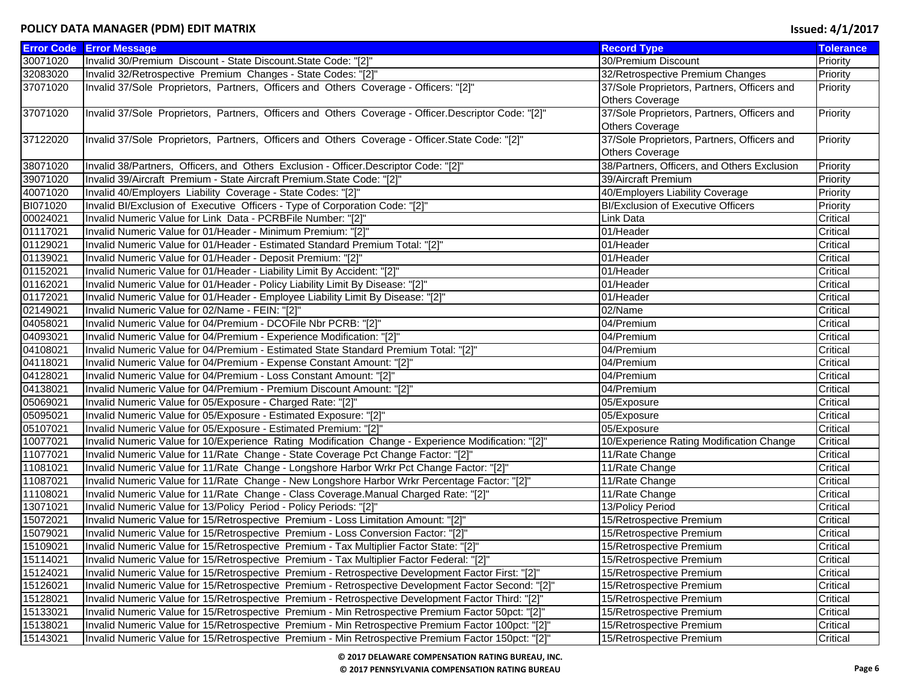|          | <b>Error Code Error Message</b>                                                                      | <b>Record Type</b>                          | <b>Tolerance</b> |
|----------|------------------------------------------------------------------------------------------------------|---------------------------------------------|------------------|
| 30071020 | Invalid 30/Premium Discount - State Discount. State Code: "[2]"                                      | 30/Premium Discount                         | Priority         |
| 32083020 | Invalid 32/Retrospective Premium Changes - State Codes: "[2]"                                        | 32/Retrospective Premium Changes            | Priority         |
| 37071020 | Invalid 37/Sole Proprietors, Partners, Officers and Others Coverage - Officers: "[2]"                | 37/Sole Proprietors, Partners, Officers and | Priority         |
|          |                                                                                                      | <b>Others Coverage</b>                      |                  |
| 37071020 | Invalid 37/Sole Proprietors, Partners, Officers and Others Coverage - Officer.Descriptor Code: "[2]" | 37/Sole Proprietors, Partners, Officers and | Priority         |
|          |                                                                                                      | <b>Others Coverage</b>                      |                  |
| 37122020 | Invalid 37/Sole Proprietors, Partners, Officers and Others Coverage - Officer.State Code: "[2]"      | 37/Sole Proprietors, Partners, Officers and | Priority         |
|          |                                                                                                      | <b>Others Coverage</b>                      |                  |
| 38071020 | Invalid 38/Partners, Officers, and Others Exclusion - Officer.Descriptor Code: "[2]"                 | 38/Partners, Officers, and Others Exclusion | Priority         |
| 39071020 | Invalid 39/Aircraft Premium - State Aircraft Premium. State Code: "[2]"                              | 39/Aircraft Premium                         | Priority         |
| 40071020 | Invalid 40/Employers Liability Coverage - State Codes: "[2]"                                         | 40/Employers Liability Coverage             | Priority         |
| BI071020 | Invalid BI/Exclusion of Executive Officers - Type of Corporation Code: "[2]"                         | <b>BI/Exclusion of Executive Officers</b>   | Priority         |
| 00024021 | Invalid Numeric Value for Link Data - PCRBFile Number: "[2]"                                         | Link Data                                   | Critical         |
| 01117021 | Invalid Numeric Value for 01/Header - Minimum Premium: "[2]"                                         | 01/Header                                   | Critical         |
| 01129021 | Invalid Numeric Value for 01/Header - Estimated Standard Premium Total: "[2]"                        | 01/Header                                   | Critical         |
| 01139021 | Invalid Numeric Value for 01/Header - Deposit Premium: "[2]"                                         | 01/Header                                   | Critical         |
| 01152021 | Invalid Numeric Value for 01/Header - Liability Limit By Accident: "[2]"                             | 01/Header                                   | Critical         |
| 01162021 | Invalid Numeric Value for 01/Header - Policy Liability Limit By Disease: "[2]"                       | 01/Header                                   | Critical         |
| 01172021 | Invalid Numeric Value for 01/Header - Employee Liability Limit By Disease: "[2]"                     | 01/Header                                   | Critical         |
| 02149021 | Invalid Numeric Value for 02/Name - FEIN: "[2]"                                                      | 02/Name                                     | Critical         |
| 04058021 | Invalid Numeric Value for 04/Premium - DCOFile Nbr PCRB: "[2]"                                       | 04/Premium                                  | Critical         |
| 04093021 | Invalid Numeric Value for 04/Premium - Experience Modification: "[2]"                                | 04/Premium                                  | Critical         |
| 04108021 | Invalid Numeric Value for 04/Premium - Estimated State Standard Premium Total: "[2]"                 | 04/Premium                                  | Critical         |
| 04118021 | Invalid Numeric Value for 04/Premium - Expense Constant Amount: "[2]"                                | 04/Premium                                  | Critical         |
| 04128021 | Invalid Numeric Value for 04/Premium - Loss Constant Amount: "[2]"                                   | 04/Premium                                  | Critical         |
| 04138021 | Invalid Numeric Value for 04/Premium - Premium Discount Amount: "[2]"                                | 04/Premium                                  | Critical         |
| 05069021 | Invalid Numeric Value for 05/Exposure - Charged Rate: "[2]"                                          | 05/Exposure                                 | Critical         |
| 05095021 | Invalid Numeric Value for 05/Exposure - Estimated Exposure: "[2]"                                    | 05/Exposure                                 | Critical         |
| 05107021 | Invalid Numeric Value for 05/Exposure - Estimated Premium: "[2]"                                     | 05/Exposure                                 | Critical         |
| 10077021 | Invalid Numeric Value for 10/Experience Rating Modification Change - Experience Modification: "[2]"  | 10/Experience Rating Modification Change    | Critical         |
| 11077021 | Invalid Numeric Value for 11/Rate Change - State Coverage Pct Change Factor: "[2]"                   | 11/Rate Change                              | Critical         |
| 11081021 | Invalid Numeric Value for 11/Rate Change - Longshore Harbor Wrkr Pct Change Factor: "[2]"            | 11/Rate Change                              | Critical         |
| 11087021 | Invalid Numeric Value for 11/Rate Change - New Longshore Harbor Wrkr Percentage Factor: "[2]"        | 11/Rate Change                              | Critical         |
| 11108021 | Invalid Numeric Value for 11/Rate Change - Class Coverage.Manual Charged Rate: "[2]"                 | 11/Rate Change                              | Critical         |
| 13071021 | Invalid Numeric Value for 13/Policy Period - Policy Periods: "[2]"                                   | 13/Policy Period                            | Critical         |
| 15072021 | Invalid Numeric Value for 15/Retrospective Premium - Loss Limitation Amount: "[2]"                   | 15/Retrospective Premium                    | Critical         |
| 15079021 | Invalid Numeric Value for 15/Retrospective Premium - Loss Conversion Factor: "[2]"                   | 15/Retrospective Premium                    | Critical         |
| 15109021 | Invalid Numeric Value for 15/Retrospective Premium - Tax Multiplier Factor State: "[2]"              | 15/Retrospective Premium                    | Critical         |
| 15114021 | Invalid Numeric Value for 15/Retrospective Premium - Tax Multiplier Factor Federal: "[2]"            | 15/Retrospective Premium                    | Critical         |
| 15124021 | Invalid Numeric Value for 15/Retrospective Premium - Retrospective Development Factor First: "[2]"   | 15/Retrospective Premium                    | Critical         |
| 15126021 | Invalid Numeric Value for 15/Retrospective Premium - Retrospective Development Factor Second: "[2]"  | 15/Retrospective Premium                    | Critical         |
| 15128021 | Invalid Numeric Value for 15/Retrospective Premium - Retrospective Development Factor Third: "[2]"   | 15/Retrospective Premium                    | Critical         |
| 15133021 | Invalid Numeric Value for 15/Retrospective Premium - Min Retrospective Premium Factor 50pct: "[2]"   | 15/Retrospective Premium                    | Critical         |
| 15138021 | Invalid Numeric Value for 15/Retrospective Premium - Min Retrospective Premium Factor 100pct: "[2]"  | 15/Retrospective Premium                    | Critical         |
| 15143021 | lnvalid Numeric Value for 15/Retrospective Premium - Min Retrospective Premium Factor 150pct: "[2]"  | 15/Retrospective Premium                    | Critical         |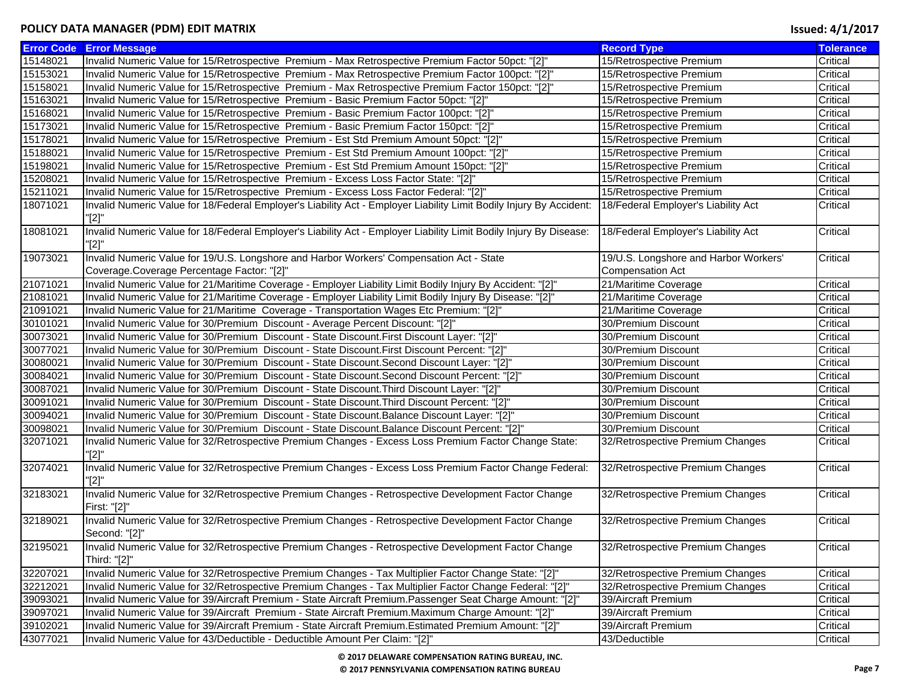| <b>Error Code</b> | <b>Error Message</b>                                                                                                | <b>Record Type</b>                    | <b>Tolerance</b> |
|-------------------|---------------------------------------------------------------------------------------------------------------------|---------------------------------------|------------------|
| 15148021          | Invalid Numeric Value for 15/Retrospective Premium - Max Retrospective Premium Factor 50pct: "[2]"                  | 15/Retrospective Premium              | Critical         |
| 15153021          | Invalid Numeric Value for 15/Retrospective Premium - Max Retrospective Premium Factor 100pct: "[2]"                 | 15/Retrospective Premium              | Critical         |
| 15158021          | Invalid Numeric Value for 15/Retrospective Premium - Max Retrospective Premium Factor 150pct: "[2]"                 | 15/Retrospective Premium              | Critical         |
| 15163021          | Invalid Numeric Value for 15/Retrospective Premium - Basic Premium Factor 50pct: "[2]"                              | 15/Retrospective Premium              | Critical         |
| 15168021          | Invalid Numeric Value for 15/Retrospective Premium - Basic Premium Factor 100pct: "[2]"                             | 15/Retrospective Premium              | Critical         |
| 15173021          | Invalid Numeric Value for 15/Retrospective Premium - Basic Premium Factor 150pct: "[2]"                             | 15/Retrospective Premium              | Critical         |
| 15178021          | Invalid Numeric Value for 15/Retrospective Premium - Est Std Premium Amount 50pct: "[2]"                            | 15/Retrospective Premium              | Critical         |
| 15188021          | Invalid Numeric Value for 15/Retrospective Premium - Est Std Premium Amount 100pct: "[2]"                           | 15/Retrospective Premium              | Critical         |
| 15198021          | Invalid Numeric Value for 15/Retrospective Premium - Est Std Premium Amount 150pct: "[2]"                           | 15/Retrospective Premium              | Critical         |
| 15208021          | Invalid Numeric Value for 15/Retrospective Premium - Excess Loss Factor State: "[2]"                                | 15/Retrospective Premium              | Critical         |
| 15211021          | Invalid Numeric Value for 15/Retrospective Premium - Excess Loss Factor Federal: "[2]"                              | 15/Retrospective Premium              | Critical         |
| 18071021          | Invalid Numeric Value for 18/Federal Employer's Liability Act - Employer Liability Limit Bodily Injury By Accident: | 18/Federal Employer's Liability Act   | Critical         |
|                   | "[2]"                                                                                                               |                                       |                  |
| 18081021          | Invalid Numeric Value for 18/Federal Employer's Liability Act - Employer Liability Limit Bodily Injury By Disease:  | 18/Federal Employer's Liability Act   | Critical         |
|                   | "[2]"                                                                                                               |                                       |                  |
| 19073021          | Invalid Numeric Value for 19/U.S. Longshore and Harbor Workers' Compensation Act - State                            | 19/U.S. Longshore and Harbor Workers' | Critical         |
|                   | Coverage.Coverage Percentage Factor: "[2]"                                                                          | <b>Compensation Act</b>               |                  |
| 21071021          | Invalid Numeric Value for 21/Maritime Coverage - Employer Liability Limit Bodily Injury By Accident: "[2]"          | 21/Maritime Coverage                  | Critical         |
| 21081021          | Invalid Numeric Value for 21/Maritime Coverage - Employer Liability Limit Bodily Injury By Disease: "[2]"           | 21/Maritime Coverage                  | Critical         |
| 21091021          | Invalid Numeric Value for 21/Maritime Coverage - Transportation Wages Etc Premium: "[2]"                            | 21/Maritime Coverage                  | Critical         |
| 30101021          | Invalid Numeric Value for 30/Premium Discount - Average Percent Discount: "[2]"                                     | 30/Premium Discount                   | Critical         |
| 30073021          | Invalid Numeric Value for 30/Premium Discount - State Discount.First Discount Layer: "[2]"                          | 30/Premium Discount                   | Critical         |
| 30077021          | Invalid Numeric Value for 30/Premium Discount - State Discount. First Discount Percent: "[2]"                       | 30/Premium Discount                   | Critical         |
| 30080021          | Invalid Numeric Value for 30/Premium Discount - State Discount.Second Discount Layer: "[2]"                         | 30/Premium Discount                   | Critical         |
| 30084021          | Invalid Numeric Value for 30/Premium Discount - State Discount. Second Discount Percent: "[2]"                      | 30/Premium Discount                   | Critical         |
| 30087021          | Invalid Numeric Value for 30/Premium Discount - State Discount. Third Discount Layer: "[2]"                         | 30/Premium Discount                   | Critical         |
| 30091021          | Invalid Numeric Value for 30/Premium Discount - State Discount. Third Discount Percent: "[2]"                       | 30/Premium Discount                   | Critical         |
| 30094021          | Invalid Numeric Value for 30/Premium Discount - State Discount.Balance Discount Layer: "[2]"                        | 30/Premium Discount                   | Critical         |
| 30098021          | Invalid Numeric Value for 30/Premium Discount - State Discount.Balance Discount Percent: "[2]"                      | 30/Premium Discount                   | Critical         |
| 32071021          | Invalid Numeric Value for 32/Retrospective Premium Changes - Excess Loss Premium Factor Change State:               | 32/Retrospective Premium Changes      | Critical         |
|                   | "[2]"                                                                                                               |                                       |                  |
| 32074021          | Invalid Numeric Value for 32/Retrospective Premium Changes - Excess Loss Premium Factor Change Federal:             | 32/Retrospective Premium Changes      | Critical         |
|                   | "[2]"                                                                                                               |                                       |                  |
| 32183021          | Invalid Numeric Value for 32/Retrospective Premium Changes - Retrospective Development Factor Change                | 32/Retrospective Premium Changes      | Critical         |
|                   | First: "[2]"                                                                                                        |                                       |                  |
| 32189021          | Invalid Numeric Value for 32/Retrospective Premium Changes - Retrospective Development Factor Change                | 32/Retrospective Premium Changes      | Critical         |
|                   | Second: "[2]"                                                                                                       |                                       |                  |
| 32195021          | Invalid Numeric Value for 32/Retrospective Premium Changes - Retrospective Development Factor Change                | 32/Retrospective Premium Changes      | Critical         |
|                   | Third: "[2]"                                                                                                        |                                       |                  |
| 32207021          | Invalid Numeric Value for 32/Retrospective Premium Changes - Tax Multiplier Factor Change State: "[2]"              | 32/Retrospective Premium Changes      | Critical         |
| 32212021          | Invalid Numeric Value for 32/Retrospective Premium Changes - Tax Multiplier Factor Change Federal: "[2]"            | 32/Retrospective Premium Changes      | Critical         |
| 39093021          | Invalid Numeric Value for 39/Aircraft Premium - State Aircraft Premium.Passenger Seat Charge Amount: "[2]"          | 39/Aircraft Premium                   | Critical         |
| 39097021          | Invalid Numeric Value for 39/Aircraft Premium - State Aircraft Premium.Maximum Charge Amount: "[2]"                 | 39/Aircraft Premium                   | Critical         |
| 39102021          | Invalid Numeric Value for 39/Aircraft Premium - State Aircraft Premium.Estimated Premium Amount: "[2]"              | 39/Aircraft Premium                   | Critical         |
| 43077021          | Invalid Numeric Value for 43/Deductible - Deductible Amount Per Claim: "[2]"                                        | 43/Deductible                         | Critical         |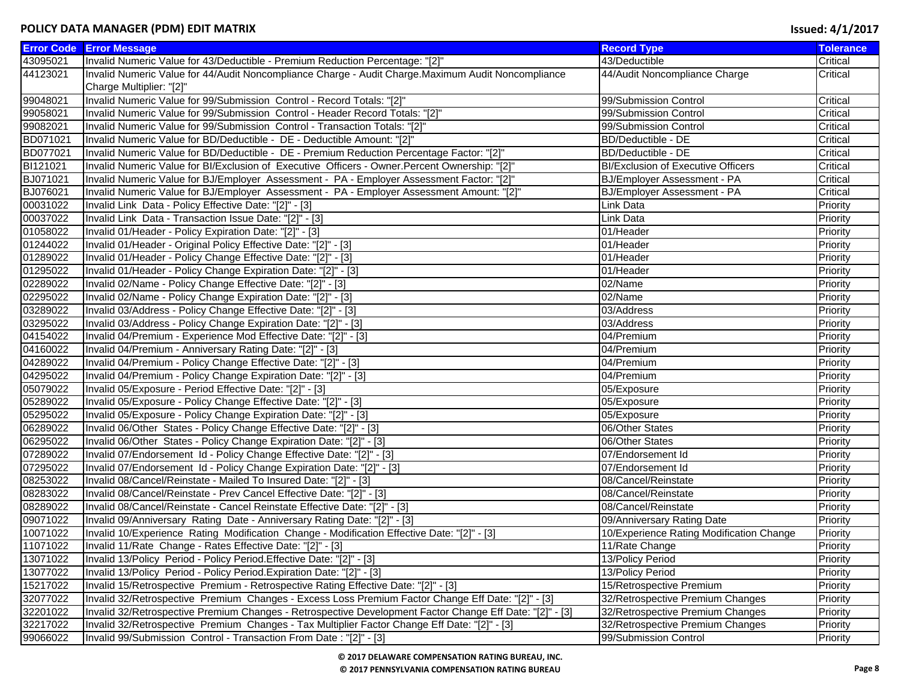|                      | <b>Error Code Error Message</b>                                                                          | <b>Record Type</b>                        | <b>Tolerance</b> |
|----------------------|----------------------------------------------------------------------------------------------------------|-------------------------------------------|------------------|
| 43095021             | Invalid Numeric Value for 43/Deductible - Premium Reduction Percentage: "[2]"                            | 43/Deductible                             | Critical         |
| 44123021             | Invalid Numeric Value for 44/Audit Noncompliance Charge - Audit Charge.Maximum Audit Noncompliance       | 44/Audit Noncompliance Charge             | Critical         |
|                      | Charge Multiplier: "[2]"                                                                                 |                                           |                  |
| 99048021             | Invalid Numeric Value for 99/Submission Control - Record Totals: "[2]"                                   | 99/Submission Control                     | Critical         |
| 99058021             | Invalid Numeric Value for 99/Submission Control - Header Record Totals: "[2]"                            | 99/Submission Control                     | Critical         |
| 99082021             | Invalid Numeric Value for 99/Submission Control - Transaction Totals: "[2]"                              | 99/Submission Control                     | Critical         |
| BD071021             | Invalid Numeric Value for BD/Deductible - DE - Deductible Amount: "[2]"                                  | <b>BD/Deductible - DE</b>                 | Critical         |
| BD077021             | Invalid Numeric Value for BD/Deductible - DE - Premium Reduction Percentage Factor: "[2]"                | <b>BD/Deductible - DE</b>                 | Critical         |
| BI121021             | Invalid Numeric Value for BI/Exclusion of Executive Officers - Owner.Percent Ownership: "[2]"            | <b>BI/Exclusion of Executive Officers</b> | Critical         |
| BJ071021             | Invalid Numeric Value for BJ/Employer Assessment - PA - Employer Assessment Factor: "[2]"                | BJ/Employer Assessment - PA               | Critical         |
| BJ076021             | Invalid Numeric Value for BJ/Employer Assessment - PA - Employer Assessment Amount: "[2]"                | BJ/Employer Assessment - PA               | Critical         |
| 00031022             | Invalid Link Data - Policy Effective Date: "[2]" - [3]                                                   | Link Data                                 | Priority         |
| 00037022             | Invalid Link Data - Transaction Issue Date: "[2]" - [3]                                                  | Link Data                                 | Priority         |
| 01058022             | Invalid 01/Header - Policy Expiration Date: "[2]" - [3]                                                  | 01/Header                                 | Priority         |
| 01244022             | Invalid 01/Header - Original Policy Effective Date: "[2]" - [3]                                          | 01/Header                                 | Priority         |
| 01289022             | Invalid 01/Header - Policy Change Effective Date: "[2]" - [3]                                            | 01/Header                                 | Priority         |
| 01295022             | Invalid 01/Header - Policy Change Expiration Date: "[2]" - [3]                                           | 01/Header                                 | Priority         |
| 02289022             | Invalid 02/Name - Policy Change Effective Date: "[2]" - [3]                                              | 02/Name                                   | Priority         |
| 02295022             | Invalid 02/Name - Policy Change Expiration Date: "[2]" - [3]                                             | 02/Name                                   | Priority         |
| 03289022             | Invalid 03/Address - Policy Change Effective Date: "[2]" - [3]                                           | 03/Address                                | Priority         |
| 03295022             | Invalid 03/Address - Policy Change Expiration Date: "[2]" - [3]                                          | 03/Address                                | Priority         |
| 04154022             | Invalid 04/Premium - Experience Mod Effective Date: "[2]" - [3]                                          | 04/Premium                                | Priority         |
| 04160022             | Invalid 04/Premium - Anniversary Rating Date: "[2]" - [3]                                                | 04/Premium                                | Priority         |
| 04289022             | Invalid 04/Premium - Policy Change Effective Date: "[2]" - [3]                                           | 04/Premium                                | Priority         |
| 04295022             | Invalid 04/Premium - Policy Change Expiration Date: "[2]" - [3]                                          | 04/Premium                                | Priority         |
| 05079022             | Invalid 05/Exposure - Period Effective Date: "[2]" - [3]                                                 | 05/Exposure                               | Priority         |
| 05289022             | Invalid 05/Exposure - Policy Change Effective Date: "[2]" - [3]                                          | 05/Exposure                               | Priority         |
| 05295022             | Invalid 05/Exposure - Policy Change Expiration Date: "[2]" - [3]                                         | 05/Exposure                               | Priority         |
| 06289022             | Invalid 06/Other States - Policy Change Effective Date: "[2]" - [3]                                      | 06/Other States                           | Priority         |
| 06295022             | Invalid 06/Other States - Policy Change Expiration Date: "[2]" - [3]                                     | 06/Other States                           | Priority         |
| 07289022             | Invalid 07/Endorsement Id - Policy Change Effective Date: "[2]" - [3]                                    | 07/Endorsement Id                         | Priority         |
| 07295022             | Invalid 07/Endorsement Id - Policy Change Expiration Date: "[2]" - [3]                                   | 07/Endorsement Id                         | Priority         |
| 08253022             | Invalid 08/Cancel/Reinstate - Mailed To Insured Date: "[2]" - [3]                                        | 08/Cancel/Reinstate                       | Priority         |
| 08283022             | Invalid 08/Cancel/Reinstate - Prev Cancel Effective Date: "[2]" - [3]                                    | 08/Cancel/Reinstate                       | Priority         |
| 08289022             | Invalid 08/Cancel/Reinstate - Cancel Reinstate Effective Date: "[2]" - [3]                               | 08/Cancel/Reinstate                       | Priority         |
| 09071022             | Invalid 09/Anniversary Rating Date - Anniversary Rating Date: "[2]" - [3]                                | 09/Anniversary Rating Date                | Priority         |
| 10071022             | Invalid 10/Experience Rating Modification Change - Modification Effective Date: "[2]" - [3]              | 10/Experience Rating Modification Change  | Priority         |
| 11071022             | Invalid 11/Rate Change - Rates Effective Date: "[2]" - [3]                                               | 11/Rate Change                            | Priority         |
| 13071022             | Invalid 13/Policy Period - Policy Period. Effective Date: "[2]" - [3]                                    | 13/Policy Period                          | Priority         |
| 13077022             |                                                                                                          |                                           |                  |
| 15217022             | Invalid 13/Policy Period - Policy Period. Expiration Date: "[2]" - [3]                                   | 13/Policy Period                          | Priority         |
|                      | Invalid 15/Retrospective Premium - Retrospective Rating Effective Date: "[2]" - [3]                      | 15/Retrospective Premium                  | Priority         |
| 32077022<br>32201022 | Invalid 32/Retrospective Premium Changes - Excess Loss Premium Factor Change Eff Date: "[2]" - [3]       | 32/Retrospective Premium Changes          | Priority         |
|                      | Invalid 32/Retrospective Premium Changes - Retrospective Development Factor Change Eff Date: "[2]" - [3] | 32/Retrospective Premium Changes          | Priority         |
| 32217022             | Invalid 32/Retrospective Premium Changes - Tax Multiplier Factor Change Eff Date: "[2]" - [3]            | 32/Retrospective Premium Changes          | Priority         |
| 99066022             | Invalid 99/Submission Control - Transaction From Date: "[2]" - [3]                                       | 99/Submission Control                     | Priority         |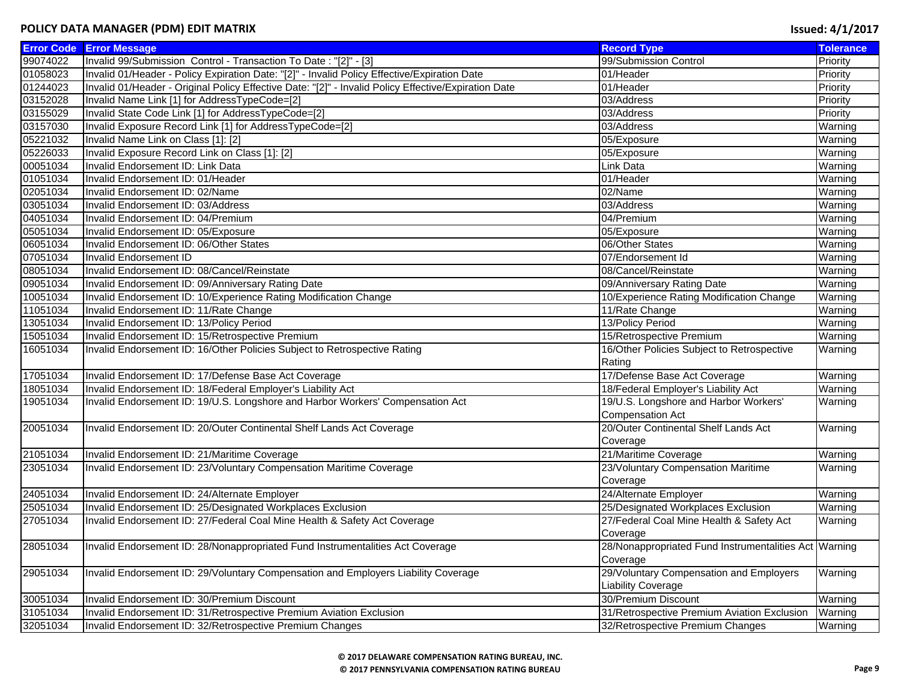|          | <b>Error Code Error Message</b>                                                                      | <b>Record Type</b>                                    | <b>Tolerance</b> |
|----------|------------------------------------------------------------------------------------------------------|-------------------------------------------------------|------------------|
| 99074022 | Invalid 99/Submission Control - Transaction To Date: "[2]" - [3]                                     | 99/Submission Control                                 | Priority         |
| 01058023 | Invalid 01/Header - Policy Expiration Date: "[2]" - Invalid Policy Effective/Expiration Date         | 01/Header                                             | Priority         |
| 01244023 | Invalid 01/Header - Original Policy Effective Date: "[2]" - Invalid Policy Effective/Expiration Date | 01/Header                                             | Priority         |
| 03152028 | Invalid Name Link [1] for AddressTypeCode=[2]                                                        | 03/Address                                            | Priority         |
| 03155029 | Invalid State Code Link [1] for AddressTypeCode=[2]                                                  | 03/Address                                            | Priority         |
| 03157030 | Invalid Exposure Record Link [1] for AddressTypeCode=[2]                                             | 03/Address                                            | Warning          |
| 05221032 | Invalid Name Link on Class [1]: [2]                                                                  | 05/Exposure                                           | Warning          |
| 05226033 | Invalid Exposure Record Link on Class [1]: [2]                                                       | 05/Exposure                                           | Warning          |
| 00051034 | Invalid Endorsement ID: Link Data                                                                    | <b>Link Data</b>                                      | Warning          |
| 01051034 | Invalid Endorsement ID: 01/Header                                                                    | 01/Header                                             | Warning          |
| 02051034 | Invalid Endorsement ID: 02/Name                                                                      | 02/Name                                               | Warning          |
| 03051034 | Invalid Endorsement ID: 03/Address                                                                   | 03/Address                                            | Warning          |
| 04051034 | Invalid Endorsement ID: 04/Premium                                                                   | 04/Premium                                            | Warning          |
| 05051034 | Invalid Endorsement ID: 05/Exposure                                                                  | 05/Exposure                                           | Warning          |
| 06051034 | Invalid Endorsement ID: 06/Other States                                                              | 06/Other States                                       | Warning          |
| 07051034 | <b>Invalid Endorsement ID</b>                                                                        | 07/Endorsement Id                                     | Warning          |
| 08051034 | Invalid Endorsement ID: 08/Cancel/Reinstate                                                          | 08/Cancel/Reinstate                                   | Warning          |
| 09051034 | Invalid Endorsement ID: 09/Anniversary Rating Date                                                   | 09/Anniversary Rating Date                            | Warning          |
| 10051034 | Invalid Endorsement ID: 10/Experience Rating Modification Change                                     | 10/Experience Rating Modification Change              | Warning          |
| 11051034 | Invalid Endorsement ID: 11/Rate Change                                                               | 11/Rate Change                                        | Warning          |
| 13051034 | Invalid Endorsement ID: 13/Policy Period                                                             | 13/Policy Period                                      | Warning          |
| 15051034 | Invalid Endorsement ID: 15/Retrospective Premium                                                     | 15/Retrospective Premium                              | Warning          |
| 16051034 | Invalid Endorsement ID: 16/Other Policies Subject to Retrospective Rating                            | 16/Other Policies Subject to Retrospective            | Warning          |
|          |                                                                                                      | Rating                                                |                  |
| 17051034 | Invalid Endorsement ID: 17/Defense Base Act Coverage                                                 | 17/Defense Base Act Coverage                          | Warning          |
| 18051034 | Invalid Endorsement ID: 18/Federal Employer's Liability Act                                          | 18/Federal Employer's Liability Act                   | Warning          |
| 19051034 | Invalid Endorsement ID: 19/U.S. Longshore and Harbor Workers' Compensation Act                       | 19/U.S. Longshore and Harbor Workers'                 | Warning          |
|          |                                                                                                      | <b>Compensation Act</b>                               |                  |
| 20051034 | Invalid Endorsement ID: 20/Outer Continental Shelf Lands Act Coverage                                | 20/Outer Continental Shelf Lands Act                  | Warning          |
|          |                                                                                                      | Coverage                                              |                  |
| 21051034 | Invalid Endorsement ID: 21/Maritime Coverage                                                         | 21/Maritime Coverage                                  | Warning          |
| 23051034 | Invalid Endorsement ID: 23/Voluntary Compensation Maritime Coverage                                  | 23/Voluntary Compensation Maritime                    | Warning          |
|          |                                                                                                      | Coverage                                              |                  |
| 24051034 | Invalid Endorsement ID: 24/Alternate Employer                                                        | 24/Alternate Employer                                 | Warning          |
| 25051034 | Invalid Endorsement ID: 25/Designated Workplaces Exclusion                                           | 25/Designated Workplaces Exclusion                    | Warning          |
| 27051034 | Invalid Endorsement ID: 27/Federal Coal Mine Health & Safety Act Coverage                            | 27/Federal Coal Mine Health & Safety Act              | Warning          |
|          |                                                                                                      | Coverage                                              |                  |
| 28051034 | Invalid Endorsement ID: 28/Nonappropriated Fund Instrumentalities Act Coverage                       | 28/Nonappropriated Fund Instrumentalities Act Warning |                  |
|          |                                                                                                      | Coverage                                              |                  |
| 29051034 | Invalid Endorsement ID: 29/Voluntary Compensation and Employers Liability Coverage                   | 29/Voluntary Compensation and Employers               | Warning          |
|          |                                                                                                      | <b>Liability Coverage</b>                             |                  |
| 30051034 | Invalid Endorsement ID: 30/Premium Discount                                                          | 30/Premium Discount                                   | Warning          |
| 31051034 | Invalid Endorsement ID: 31/Retrospective Premium Aviation Exclusion                                  | 31/Retrospective Premium Aviation Exclusion           | Warning          |
| 32051034 | Invalid Endorsement ID: 32/Retrospective Premium Changes                                             | 32/Retrospective Premium Changes                      | Warning          |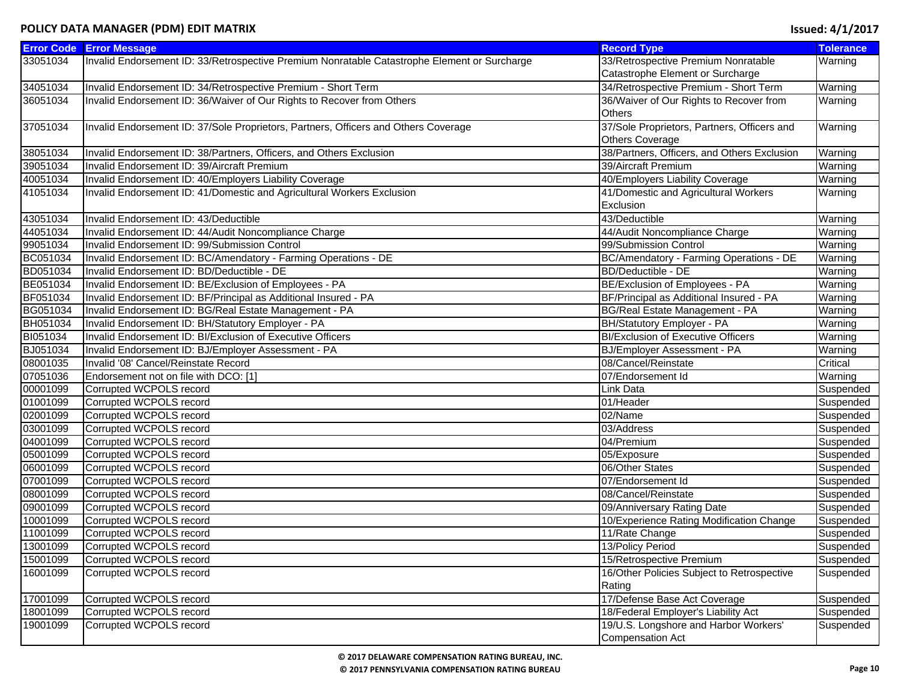| <b>Error Code</b> | <b>Error Message</b>                                                                         | <b>Record Type</b>                          | <b>Tolerance</b> |
|-------------------|----------------------------------------------------------------------------------------------|---------------------------------------------|------------------|
| 33051034          | Invalid Endorsement ID: 33/Retrospective Premium Nonratable Catastrophe Element or Surcharge | 33/Retrospective Premium Nonratable         | Warning          |
|                   |                                                                                              | Catastrophe Element or Surcharge            |                  |
| 34051034          | Invalid Endorsement ID: 34/Retrospective Premium - Short Term                                | 34/Retrospective Premium - Short Term       | Warning          |
| 36051034          | Invalid Endorsement ID: 36/Waiver of Our Rights to Recover from Others                       | 36/Waiver of Our Rights to Recover from     | Warning          |
|                   |                                                                                              | <b>Others</b>                               |                  |
| 37051034          | Invalid Endorsement ID: 37/Sole Proprietors, Partners, Officers and Others Coverage          | 37/Sole Proprietors, Partners, Officers and | Warning          |
|                   |                                                                                              | <b>Others Coverage</b>                      |                  |
| 38051034          | Invalid Endorsement ID: 38/Partners, Officers, and Others Exclusion                          | 38/Partners, Officers, and Others Exclusion | Warning          |
| 39051034          | Invalid Endorsement ID: 39/Aircraft Premium                                                  | 39/Aircraft Premium                         | Warning          |
| 40051034          | Invalid Endorsement ID: 40/Employers Liability Coverage                                      | 40/Employers Liability Coverage             | Warning          |
| 41051034          | Invalid Endorsement ID: 41/Domestic and Agricultural Workers Exclusion                       | 41/Domestic and Agricultural Workers        | Warning          |
|                   |                                                                                              | Exclusion                                   |                  |
| 43051034          | Invalid Endorsement ID: 43/Deductible                                                        | 43/Deductible                               | Warning          |
| 44051034          | Invalid Endorsement ID: 44/Audit Noncompliance Charge                                        | 44/Audit Noncompliance Charge               | Warning          |
| 99051034          | Invalid Endorsement ID: 99/Submission Control                                                | 99/Submission Control                       | Warning          |
| BC051034          | Invalid Endorsement ID: BC/Amendatory - Farming Operations - DE                              | BC/Amendatory - Farming Operations - DE     | Warning          |
| BD051034          | Invalid Endorsement ID: BD/Deductible - DE                                                   | <b>BD/Deductible - DE</b>                   | Warning          |
| BE051034          | Invalid Endorsement ID: BE/Exclusion of Employees - PA                                       | BE/Exclusion of Employees - PA              | Warning          |
| BF051034          | Invalid Endorsement ID: BF/Principal as Additional Insured - PA                              | BF/Principal as Additional Insured - PA     | Warning          |
| BG051034          | Invalid Endorsement ID: BG/Real Estate Management - PA                                       | BG/Real Estate Management - PA              | Warning          |
| BH051034          | Invalid Endorsement ID: BH/Statutory Employer - PA                                           | BH/Statutory Employer - PA                  | Warning          |
| BI051034          | Invalid Endorsement ID: BI/Exclusion of Executive Officers                                   | <b>BI/Exclusion of Executive Officers</b>   | Warning          |
| BJ051034          | Invalid Endorsement ID: BJ/Employer Assessment - PA                                          | BJ/Employer Assessment - PA                 | Warning          |
| 08001035          | Invalid '08' Cancel/Reinstate Record                                                         | 08/Cancel/Reinstate                         | Critical         |
| 07051036          | Endorsement not on file with DCO: [1]                                                        | 07/Endorsement Id                           | Warning          |
| 00001099          | Corrupted WCPOLS record                                                                      | Link Data                                   | Suspended        |
| 01001099          | Corrupted WCPOLS record                                                                      | 01/Header                                   | Suspended        |
| 02001099          | Corrupted WCPOLS record                                                                      | 02/Name                                     | Suspended        |
| 03001099          | Corrupted WCPOLS record                                                                      | 03/Address                                  | Suspended        |
| 04001099          | Corrupted WCPOLS record                                                                      | 04/Premium                                  | Suspended        |
| 05001099          | Corrupted WCPOLS record                                                                      | 05/Exposure                                 | Suspended        |
| 06001099          | Corrupted WCPOLS record                                                                      | 06/Other States                             | Suspended        |
| 07001099          | Corrupted WCPOLS record                                                                      | 07/Endorsement Id                           | Suspended        |
| 08001099          | Corrupted WCPOLS record                                                                      | 08/Cancel/Reinstate                         | Suspended        |
| 09001099          | Corrupted WCPOLS record                                                                      | 09/Anniversary Rating Date                  | Suspended        |
| 10001099          | Corrupted WCPOLS record                                                                      | 10/Experience Rating Modification Change    | Suspended        |
| 11001099          | Corrupted WCPOLS record                                                                      | 11/Rate Change                              | Suspended        |
| 13001099          | Corrupted WCPOLS record                                                                      | 13/Policy Period                            | Suspended        |
| 15001099          | Corrupted WCPOLS record                                                                      | 15/Retrospective Premium                    | Suspended        |
| 16001099          | Corrupted WCPOLS record                                                                      | 16/Other Policies Subject to Retrospective  | Suspended        |
|                   |                                                                                              | Rating                                      |                  |
| 17001099          | Corrupted WCPOLS record                                                                      | 17/Defense Base Act Coverage                | Suspended        |
| 18001099          | Corrupted WCPOLS record                                                                      | 18/Federal Employer's Liability Act         | Suspended        |
| 19001099          | Corrupted WCPOLS record                                                                      | 19/U.S. Longshore and Harbor Workers'       | Suspended        |
|                   |                                                                                              | <b>Compensation Act</b>                     |                  |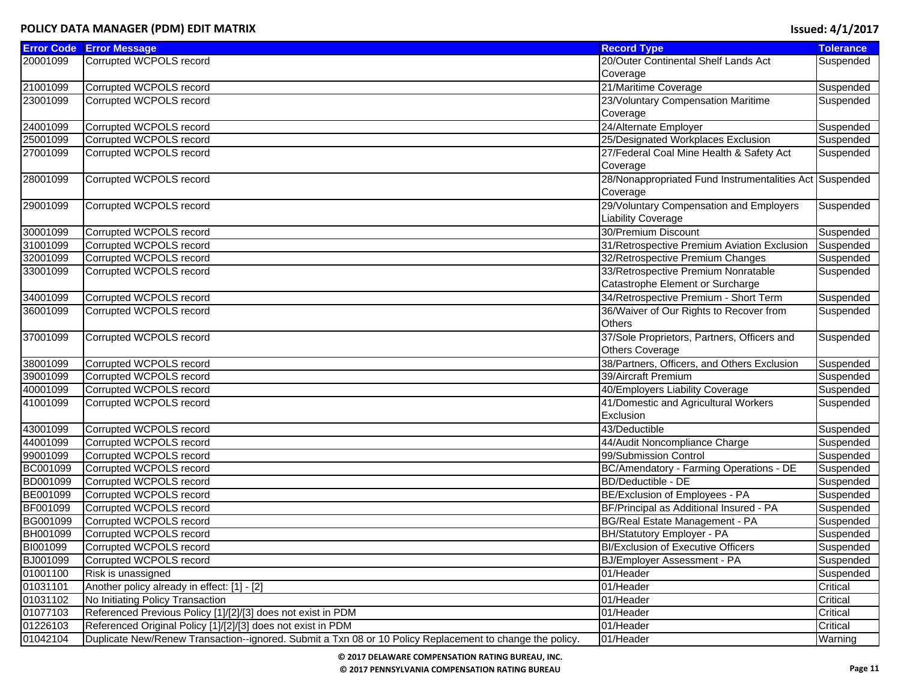|          | <b>Error Code Error Message</b>                                                                          | <b>Record Type</b>                                      | <b>Tolerance</b> |
|----------|----------------------------------------------------------------------------------------------------------|---------------------------------------------------------|------------------|
| 20001099 | Corrupted WCPOLS record                                                                                  | 20/Outer Continental Shelf Lands Act                    | Suspended        |
|          |                                                                                                          | Coverage                                                |                  |
| 21001099 | Corrupted WCPOLS record                                                                                  | 21/Maritime Coverage                                    | Suspended        |
| 23001099 | Corrupted WCPOLS record                                                                                  | 23/Voluntary Compensation Maritime                      | Suspended        |
|          |                                                                                                          | Coverage                                                |                  |
| 24001099 | Corrupted WCPOLS record                                                                                  | 24/Alternate Employer                                   | Suspended        |
| 25001099 | Corrupted WCPOLS record                                                                                  | 25/Designated Workplaces Exclusion                      | Suspended        |
| 27001099 | Corrupted WCPOLS record                                                                                  | 27/Federal Coal Mine Health & Safety Act                | Suspended        |
|          |                                                                                                          | Coverage                                                |                  |
| 28001099 | Corrupted WCPOLS record                                                                                  | 28/Nonappropriated Fund Instrumentalities Act Suspended |                  |
|          |                                                                                                          | Coverage                                                |                  |
| 29001099 | Corrupted WCPOLS record                                                                                  | 29/Voluntary Compensation and Employers                 | Suspended        |
|          |                                                                                                          | <b>Liability Coverage</b>                               |                  |
| 30001099 | Corrupted WCPOLS record                                                                                  | 30/Premium Discount                                     | Suspended        |
| 31001099 | Corrupted WCPOLS record                                                                                  | 31/Retrospective Premium Aviation Exclusion             | Suspended        |
| 32001099 | Corrupted WCPOLS record                                                                                  | 32/Retrospective Premium Changes                        | Suspended        |
| 33001099 | Corrupted WCPOLS record                                                                                  | 33/Retrospective Premium Nonratable                     | Suspended        |
|          |                                                                                                          | Catastrophe Element or Surcharge                        |                  |
| 34001099 | Corrupted WCPOLS record                                                                                  | 34/Retrospective Premium - Short Term                   | Suspended        |
| 36001099 | Corrupted WCPOLS record                                                                                  | 36/Waiver of Our Rights to Recover from                 | Suspended        |
|          |                                                                                                          | Others                                                  |                  |
| 37001099 | Corrupted WCPOLS record                                                                                  | 37/Sole Proprietors, Partners, Officers and             | Suspended        |
|          |                                                                                                          | <b>Others Coverage</b>                                  |                  |
| 38001099 | Corrupted WCPOLS record                                                                                  | 38/Partners, Officers, and Others Exclusion             | Suspended        |
| 39001099 | Corrupted WCPOLS record                                                                                  | 39/Aircraft Premium                                     | Suspended        |
| 40001099 | Corrupted WCPOLS record                                                                                  | 40/Employers Liability Coverage                         | Suspended        |
| 41001099 | Corrupted WCPOLS record                                                                                  | 41/Domestic and Agricultural Workers                    | Suspended        |
|          |                                                                                                          | Exclusion                                               |                  |
| 43001099 | Corrupted WCPOLS record                                                                                  | 43/Deductible                                           | Suspended        |
| 44001099 | Corrupted WCPOLS record                                                                                  | 44/Audit Noncompliance Charge                           | Suspended        |
| 99001099 | Corrupted WCPOLS record                                                                                  | 99/Submission Control                                   | Suspended        |
| BC001099 | Corrupted WCPOLS record                                                                                  | BC/Amendatory - Farming Operations - DE                 | Suspended        |
| BD001099 | Corrupted WCPOLS record                                                                                  | <b>BD/Deductible - DE</b>                               | Suspended        |
| BE001099 | Corrupted WCPOLS record                                                                                  | BE/Exclusion of Employees - PA                          | Suspended        |
| BF001099 | Corrupted WCPOLS record                                                                                  | BF/Principal as Additional Insured - PA                 | Suspended        |
| BG001099 | Corrupted WCPOLS record                                                                                  | BG/Real Estate Management - PA                          | Suspended        |
| BH001099 | Corrupted WCPOLS record                                                                                  | BH/Statutory Employer - PA                              | Suspended        |
| BI001099 | Corrupted WCPOLS record                                                                                  | <b>BI/Exclusion of Executive Officers</b>               | Suspended        |
| BJ001099 | Corrupted WCPOLS record                                                                                  | BJ/Employer Assessment - PA                             | Suspended        |
| 01001100 | Risk is unassigned                                                                                       | 01/Header                                               | Suspended        |
| 01031101 | Another policy already in effect: [1] - [2]                                                              | 01/Header                                               | Critical         |
| 01031102 | No Initiating Policy Transaction                                                                         | 01/Header                                               | Critical         |
| 01077103 | Referenced Previous Policy [1]/[2]/[3] does not exist in PDM                                             | 01/Header                                               | Critical         |
| 01226103 | Referenced Original Policy [1]/[2]/[3] does not exist in PDM                                             | 01/Header                                               | Critical         |
| 01042104 | Duplicate New/Renew Transaction--ignored. Submit a Txn 08 or 10 Policy Replacement to change the policy. | 01/Header                                               | Warning          |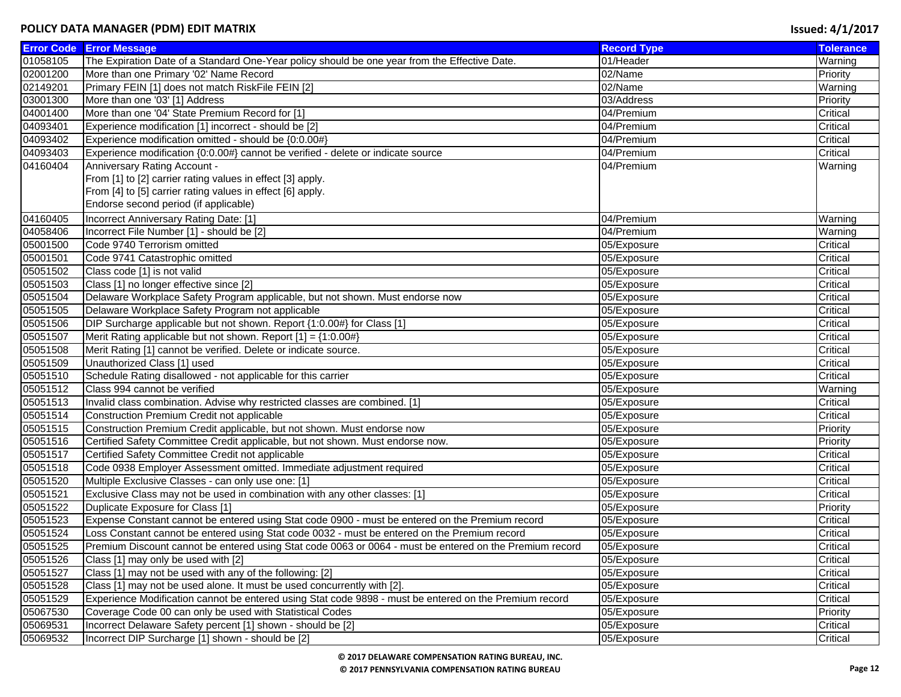|          | <b>Error Code Error Message</b>                                                                         | <b>Record Type</b> | <b>Tolerance</b> |
|----------|---------------------------------------------------------------------------------------------------------|--------------------|------------------|
| 01058105 | The Expiration Date of a Standard One-Year policy should be one year from the Effective Date.           | 01/Header          | Warning          |
| 02001200 | More than one Primary '02' Name Record                                                                  | 02/Name            | Priority         |
| 02149201 | Primary FEIN [1] does not match RiskFile FEIN [2]                                                       | 02/Name            | Warning          |
| 03001300 | More than one '03' [1] Address                                                                          | 03/Address         | Priority         |
| 04001400 | More than one '04' State Premium Record for [1]                                                         | 04/Premium         | Critical         |
| 04093401 | Experience modification [1] incorrect - should be [2]                                                   | 04/Premium         | Critical         |
| 04093402 | Experience modification omitted - should be {0:0.00#}                                                   | 04/Premium         | Critical         |
| 04093403 | Experience modification {0:0.00#} cannot be verified - delete or indicate source                        | 04/Premium         | Critical         |
| 04160404 | Anniversary Rating Account -                                                                            | 04/Premium         | Warning          |
|          | From [1] to [2] carrier rating values in effect [3] apply.                                              |                    |                  |
|          | From [4] to [5] carrier rating values in effect [6] apply.                                              |                    |                  |
|          | Endorse second period (if applicable)                                                                   |                    |                  |
| 04160405 | Incorrect Anniversary Rating Date: [1]                                                                  | 04/Premium         | Warning          |
| 04058406 | Incorrect File Number [1] - should be [2]                                                               | 04/Premium         | Warning          |
| 05001500 | Code 9740 Terrorism omitted                                                                             | 05/Exposure        | Critical         |
| 05001501 | Code 9741 Catastrophic omitted                                                                          | 05/Exposure        | Critical         |
| 05051502 | Class code [1] is not valid                                                                             | 05/Exposure        | Critical         |
| 05051503 | Class [1] no longer effective since [2]                                                                 | 05/Exposure        | Critical         |
| 05051504 | Delaware Workplace Safety Program applicable, but not shown. Must endorse now                           | 05/Exposure        | Critical         |
| 05051505 | Delaware Workplace Safety Program not applicable                                                        | 05/Exposure        | Critical         |
| 05051506 | [1] DIP Surcharge applicable but not shown. Report {1:0.00#} for Class [1]                              | 05/Exposure        | Critical         |
| 05051507 | Merit Rating applicable but not shown. Report $[1] = \{1:0.00\#\}$                                      | 05/Exposure        | Critical         |
| 05051508 | Merit Rating [1] cannot be verified. Delete or indicate source.                                         | 05/Exposure        | Critical         |
| 05051509 | Unauthorized Class [1] used                                                                             | 05/Exposure        | Critical         |
| 05051510 | Schedule Rating disallowed - not applicable for this carrier                                            | 05/Exposure        | Critical         |
| 05051512 | Class 994 cannot be verified                                                                            | 05/Exposure        | Warning          |
| 05051513 | Invalid class combination. Advise why restricted classes are combined. [1]                              | 05/Exposure        | Critical         |
| 05051514 | Construction Premium Credit not applicable                                                              | 05/Exposure        | Critical         |
| 05051515 | Construction Premium Credit applicable, but not shown. Must endorse now                                 | 05/Exposure        | Priority         |
| 05051516 | Certified Safety Committee Credit applicable, but not shown. Must endorse now.                          | 05/Exposure        | Priority         |
| 05051517 | Certified Safety Committee Credit not applicable                                                        | 05/Exposure        | Critical         |
| 05051518 | Code 0938 Employer Assessment omitted. Immediate adjustment required                                    | 05/Exposure        | Critical         |
| 05051520 | Multiple Exclusive Classes - can only use one: [1]                                                      | 05/Exposure        | Critical         |
| 05051521 | Exclusive Class may not be used in combination with any other classes: [1]                              | 05/Exposure        | Critical         |
| 05051522 | Duplicate Exposure for Class [1]                                                                        | 05/Exposure        | Priority         |
| 05051523 | Expense Constant cannot be entered using Stat code 0900 - must be entered on the Premium record         | 05/Exposure        | Critical         |
| 05051524 | Loss Constant cannot be entered using Stat code 0032 - must be entered on the Premium record            | 05/Exposure        | Critical         |
| 05051525 | Premium Discount cannot be entered using Stat code 0063 or 0064 - must be entered on the Premium record | 05/Exposure        | Critical         |
| 05051526 | Class [1] may only be used with [2]                                                                     | 05/Exposure        | Critical         |
| 05051527 | Class [1] may not be used with any of the following: [2]                                                | 05/Exposure        | Critical         |
| 05051528 | Class [1] may not be used alone. It must be used concurrently with [2].                                 | 05/Exposure        | Critical         |
| 05051529 | Experience Modification cannot be entered using Stat code 9898 - must be entered on the Premium record  | 05/Exposure        | Critical         |
| 05067530 | Coverage Code 00 can only be used with Statistical Codes                                                | 05/Exposure        | Priority         |
| 05069531 | Incorrect Delaware Safety percent [1] shown - should be [2]                                             | 05/Exposure        | Critical         |
| 05069532 | Incorrect DIP Surcharge [1] shown - should be [2]                                                       | 05/Exposure        | Critical         |